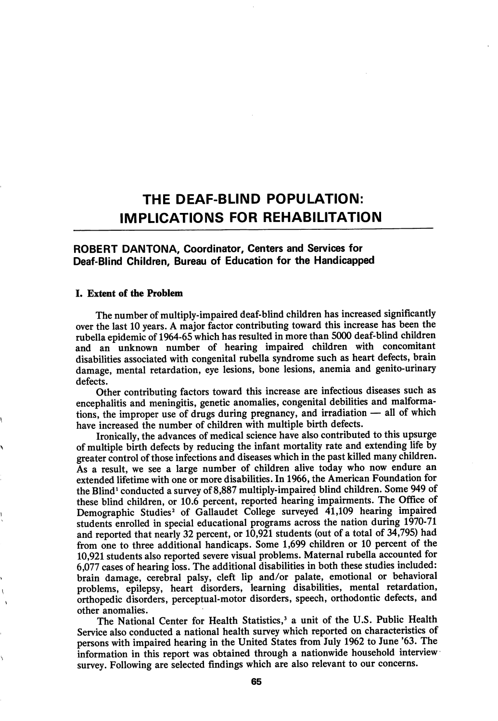# THE DEAF-BUND POPULATION: IMPLICATIONS FOR REHABILITATION

# ROBERT DANTONA, Coordinator, Centers and Services for Deaf-Blind Children, Bureau of Education for the Handicapped

#### I. Extent of the Problem

The number of multiply-impaired deaf-blind children has increased significantly over the last 10 years. A major factor contributing toward this increase has been the rubella epidemic of 1964-65 which has resulted in more than 5000 deaf-blind children and an unknown number of hearing impaired children with concomitant disabilities associated with congenital rubella syndrome such as heart defects, brain damage, mental retardation, eye lesions, bone lesions, anemia and genito-urinary defects.

Other contributing factors toward this increase are infectious diseases such as encephalitis and meningitis, genetic anomalies, congenital debilities and malforma tions, the improper use of drugs during pregnancy, and irradiation — all of which have increased the number of children with multiple birth defects.

Ironically, the advances of medical science have also contributed to this upsurge of multiple birth defects by reducing the infant mortality rate and extending life by greater control of those infections and diseases which in the past killed many children. As a result, we see a large number of children alive today who now endure an extended lifetime with one or more disabilities. In 1966, the American Foundation for the Blind' conducted a survey of8,887 multiply-impaired blind children. Some 949 of these blind children, or 10.6 percent, reported hearing impairments. The Office of Demographic Studies<sup>2</sup> of Gallaudet College surveyed 41,109 hearing impaired students enrolled in special educational programs across the nation during 1970-71 and reported that nearly 32 percent, or  $10,921$  students (out of a total of 34,795) had from one to three additional handicaps. Some 1,699 children or 10 percent of the 10,921 students also reported severe visual problems. Maternal rubella accounted for 6,077 cases of hearing loss. The additional disabilities in both these studies included: brain damage, cerebral palsy, cleft lip and/or palate, emotional or behavioral problems, epilepsy, heart disorders, learning disabilities, mental retardation, orthopedic disorders, perceptual-motor disorders, speech, orthodontic defects, and other anomalies.

The National Center for Health Statistics,' a unit of the U.S. Public Health Service also conducted a national health survey which reported on characteristics of persons with impaired hearing in the United States from July 1962 to June '63. The information in this report was obtained through a nationwide household interview survey. Following are selected findings which are also relevant to our concerns.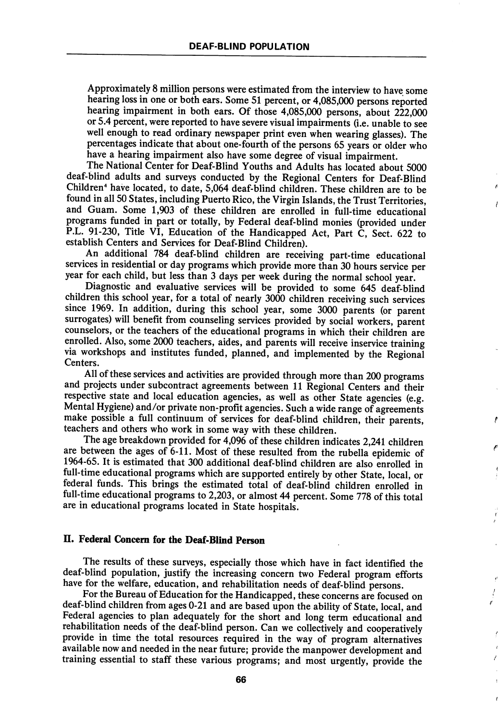Approximately 8 million persons were estimated from the interview to have some hearing loss in one or both ears. Some 51 percent, or 4,085,000 persons reported hearing impairment in both ears. Of those 4,085,000 persons, about 222,000 or 5.4 percent, were reported to have severe visual impairments (i.e. unable to see well enough to read ordinary newspaper print even when wearing glasses). The percentages indicate that about one-fourth of the persons 65 years or older who have a hearing impairment also have some degree of visual impairment.

The National Center for Deaf-Blind Youths and Adults has located about 5000 deaf-blind adults and surveys conducted by the Regional Centers for Deaf-Blind Children" have located, to date, 5,064 deaf-blind children. These children are to be found in all 50 States, including Puerto Rico, the Virgin Islands, the Trust Territories, and Guam. Some 1,903 of these children are enrolled in full-time educational programs funded in part or totally, by Federal deaf-blind monies (provided under P.L. 91-230, Title VI, Education of the Handicapped Act, Part C, Sect. 622 to establish Centers and Services for Deaf-Blind Children).

An additional 784 deaf-blind children are receiving part-time educational services in residential or day programs which provide more than 30 hours service per year for each child, but less than 3 days per week during the normal school year.

Diagnostic and evaluative services will be provided to some 645 deaf-blind children this school year, for a total of nearly 3000 children receiving such services since 1969. In addition, during this school year, some 3000 parents (or parent surrogates) will benefit from counseling services provided by social workers, parent counselors, or the teachers of the educational programs in which their children are enrolled. Also, some 2000 teachers, aides, and parents will receive inservice training via workshops and institutes funded, planned, and implemented by the Regional Centers.

All of these services and activities are provided through more than 200 programs and projects under subcontract agreements between 11 Regional Centers and their respective state and local education agencies, as well as other State agencies (e.g. Mental Hygiene) and/or private non-profit agencies. Such a wide range of agreements make possible a full continuum of services for deaf-blind children, their parents, teachers and others who work in some way with these children.

The age breakdown provided for 4,096 of these children indicates 2,241 children are between the ages of 6-11. Most of these resulted from the rubella epidemic of 1964-65. It is estimated that 300 additional deaf-blind children are also enrolled in full-time educational programs which are supported entirely by other State, local, or federal funds. This brings the estimated total of deaf-blind children enrolled in full-time educational programs to 2,203, or almost 44 percent. Some 778 of this total are in educational programs located in State hospitals.

## II. Federal Concern for the Deaf-Blind Person

The results of these surveys, especially those which have in fact identified the deaf-blind population, justify the increasing concern two Federal program efforts have for the welfare, education, and rehabilitation needs of deaf-blind persons.

For the Bureau of Education for the Handicapped, these concerns are focused on deaf-blind children from ages 0-21 and are based upon the ability of State, local, and Federal agencies to plan adequately for the short and long term educational and rehabilitation needs of the deaf-blind person. Can we collectively and cooperatively provide in time the total resources required in the way of program alternatives available now and needed in the near future; provide the manpower development and training essential to staff these various programs; and most urgently, provide the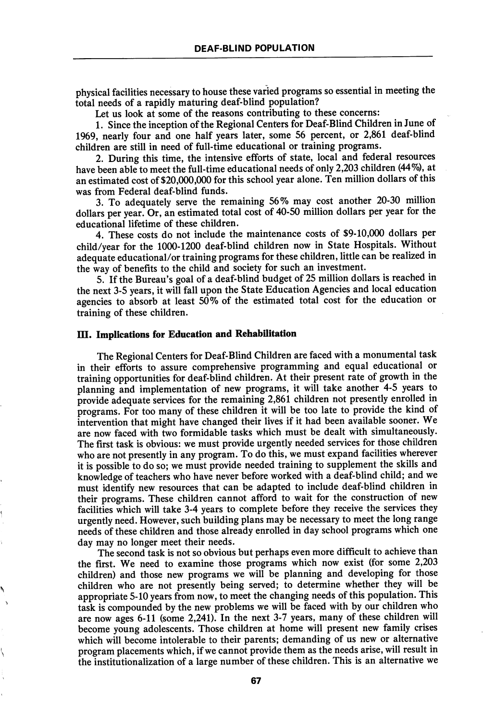physical facilities necessary to house these varied programs so essential in meeting the total needs of a rapidly maturing deaf-blind population?

Let us look at some of the reasons contributing to these concerns:

1. Since the inception of the Regional Centers for Deaf-Blind Children in June of 1969, nearly four and one half years later, some 56 percent, or 2,861 deaf-blind children are still in need of full-time educational or training programs.

2. During this time, the intensive efforts of state, local and federal resources have been able to meet the full-time educational needs of only 2,203 children (44%), at an estimated cost of \$20,000,000 for this school year alone. Ten million dollars of this was from Federal deaf-blind funds.

3. To adequately serve the remaining 56% may cost another 20-30 million dollars per year. Or, an estimated total cost of 40-50 million dollars per year for the educational lifetime of these children.

4. These costs do not include the maintenance costs of \$9-10,000 dollars per child/year for the 1000-1200 deaf-blind children now in State Hospitals. Without adequate educational/or training programs for these children, little can be realized in the way of benefits to the child and society for such an investment.

5. If the Bureau's goal of a deaf-blind budget of 25 million dollars is reached in the next 3-5 years, it will fall upon the State Education Agencies and local education agencies to absorb at least 50% of the estimated total cost for the education or training of these children.

# III. Implications for Education and Rehabilitation

The Regional Centers for Deaf-Blind Children are faced with a monumental task in their efforts to assure comprehensive programming and equal educational or training opportunities for deaf-blind children. At their present rate of growth in the planning and implementation of new programs, it will take another 4-5 years to provide adequate services for the remaining 2,861 children not presently enrolled in programs. For too many of these children it will be too late to provide the kind of intervention that might have changed their lives if it had been available sooner. We are now faced with two formidable tasks which must be dealt with simultaneously. The first task is obvious: we must provide urgently needed services for those children who are not presently in any program. To do this, we must expand facilities wherever it is possible to do so; we must provide needed training to supplement the skills and knowledge of teachers who have never before worked with a deaf-blind child; and we must identify new resources that can be adapted to include deaf-blind children in their programs. These children cannot afford to wait for the construction of new facilities which will take 3-4 years to complete before they receive the services they urgently need. However, such building plans may be necessary to meet the long range needs of these children and those already enrolled in day school programs which one day may no longer meet their needs.

The second task is not so obvious but perhaps even more difficult to achieve than the first. We need to examine those programs which now exist (for some 2,203 children) and those new programs we will be planning and developing for those children who are not presently being served; to determine whether they will be appropriate 5-10 years from now, to meet the changing needs of this population. This task is compounded by the new problems we will be faced with by our children who are now ages 6-11 (some 2,241). In the next 3-7 years, many of these children will become young adolescents. Those children at home will present new family crises which will become intolerable to their parents; demanding of us new or alternative program placements which, if we cannot provide them as the needs arise, will result in the institutionalization of a large number of these children. This is an alternative we